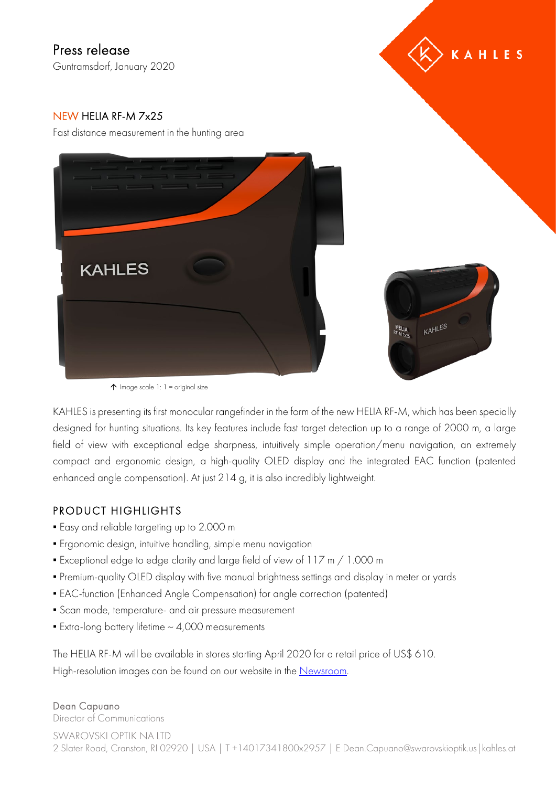# Press release

Guntramsdorf, January 2020



## NEW HELIA RF-M 7x25

Fast distance measurement in the hunting area





 $\uparrow$  Image scale 1: 1 = original size

KAHLES is presenting its first monocular rangefinder in the form of the new HELIA RF-M, which has been specially designed for hunting situations. Its key features include fast target detection up to a range of 2000 m, a large field of view with exceptional edge sharpness, intuitively simple operation/menu navigation, an extremely compact and ergonomic design, a high-quality OLED display and the integrated EAC function (patented enhanced angle compensation). At just 214 g, it is also incredibly lightweight.

### PRODUCT HIGHLIGHTS

- **Easy and reliable targeting up to 2.000 m**
- Ergonomic design, intuitive handling, simple menu navigation
- Exceptional edge to edge clarity and large field of view of 117 m / 1.000 m
- Premium-quality OLED display with five manual brightness settings and display in meter or yards
- EAC-function (Enhanced Angle Compensation) for angle correction (patented)
- Scan mode, temperature- and air pressure measurement
- $\blacktriangleright$  Extra-long battery lifetime  $\sim$  4,000 measurements

The HELIA RF-M will be available in stores starting April 2020 for a retail price of US\$ 610. High-resolution images can be found on our website in the [Newsroom.](http://www.kahles.at/en/news)

#### Dean Capuano

Director of Communications

SWAROVSKI OPTIK NA LTD